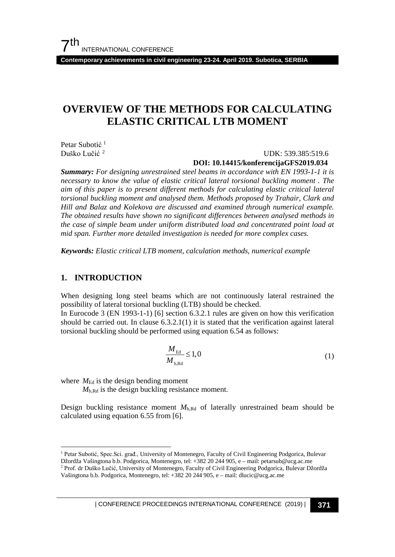**Contemporary achievements in civil engineering 23-24. April 2019. Subotica, SERBIA**

# **OVERVIEW OF THE METHODS FOR CALCULATING ELASTIC CRITICAL LTB MOMENT**

Petar Subotić<sup>[1](#page-0-0)</sup><br>Duško Lučić<sup>2</sup>

UDK: 539.385:519.6  **DOI: 10.14415/konferencijaGFS2019.034**

*Summary: For designing unrestrained steel beams in accordance with EN 1993-1-1 it is necessary to know the value of elastic critical lateral torsional buckling moment . The aim of this paper is to present different methods for calculating elastic critical lateral torsional buckling moment and analysed them. Methods proposed by Trahair, Clark and Hill and Balaz and Kolekova are discussed and examined through numerical example. The obtained results have shown no significant differences between analysed methods in the case of simple beam under uniform distributed load and concentrated point load at mid span. Further more detailed investigation is needed for more complex cases.* 

*Keywords: Elastic critical LTB moment, calculation methods, numerical example*

#### **1. INTRODUCTION**

When designing long steel beams which are not continuously lateral restrained the possibility of lateral torsional buckling (LTB) should be checked.

In Eurocode 3 (EN 1993-1-1) [6] section 6.3.2.1 rules are given on how this verification should be carried out. In clause  $6.3.2.1(1)$  it is stated that the verification against lateral torsional buckling should be performed using equation 6.54 as follows:

$$
\frac{M_{\rm Ed}}{M_{\rm b, Rd}} \le 1,0\tag{1}
$$

where  $M_{\text{Ed}}$  is the design bending moment

 $M<sub>b,Rd</sub>$  is the design buckling resistance moment.

Design buckling resistance moment *M*b,Rd of laterally unrestrained beam should be calculated using equation 6.55 from [6].

<span id="page-0-0"></span> <sup>1</sup> Petar Subotić, Spec.Sci. građ., University of Montenegro, Faculty of Civil Engineering Podgorica, Bulevar Džordža Vašingtona b.b. Podgorica, Montenegro, tel: +382 20 244 905, e – mail: petarsub@ucg.ac.me

<span id="page-0-1"></span><sup>2</sup> Prof. dr Duško Lučić, University of Montenegro, Faculty of Civil Engineering Podgorica, Bulevar Džordža Vašingtona b.b. Podgorica, Montenegro, tel: +382 20 244 905, e – mail: dlucic@ucg.ac.me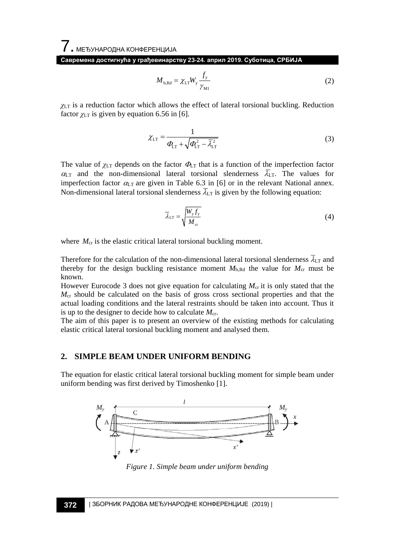**Савремена достигнућа у грађевинарству 23-24. април 2019. Суботица, СРБИЈА**

$$
M_{\text{b,Rd}} = \chi_{\text{LT}} W_{\text{y}} \frac{f_{\text{y}}}{\gamma_{\text{M1}}} \tag{2}
$$

*χ*LT is a reduction factor which allows the effect of lateral torsional buckling. Reduction factor  $\chi$ <sub>LT</sub> is given by equation 6.56 in [6].

$$
\chi_{LT} = \frac{1}{\Phi_{LT} + \sqrt{\Phi_{LT}^2 - \overline{\lambda}_{LT}^2}}\tag{3}
$$

The value of  $\chi_{LT}$  depends on the factor  $\Phi_{LT}$  that is a function of the imperfection factor  $\alpha_{LT}$  and the non-dimensional lateral torsional slenderness  $\overline{\lambda}_{LT}$ . The values for imperfection factor  $\alpha_{LT}$  are given in Table 6.3 in [6] or in the relevant National annex. Non-dimensional lateral torsional slenderness  $\overline{\lambda}_{LT}$  is given by the following equation:

$$
\overline{\lambda}_{LT} = \sqrt{\frac{W_y f_y}{M_{cr}}} \tag{4}
$$

where  $M_{cr}$  is the elastic critical lateral torsional buckling moment.

Therefore for the calculation of the non-dimensional lateral torsional slenderness  $\overline{\lambda}_{LT}$  and thereby for the design buckling resistance moment  $M_{b, Rd}$  the value for  $M_{cr}$  must be known.

However Eurocode 3 does not give equation for calculating  $M_{cr}$  it is only stated that the  $M_{\rm cr}$  should be calculated on the basis of gross cross sectional properties and that the actual loading conditions and the lateral restraints should be taken into account. Thus it is up to the designer to decide how to calculate  $M_{cr}$ .

The aim of this paper is to present an overview of the existing methods for calculating elastic critical lateral torsional buckling moment and analysed them.

#### **2. SIMPLE BEAM UNDER UNIFORM BENDING**

The equation for elastic critical lateral torsional buckling moment for simple beam under uniform bending was first derived by Timoshenko [1].



*Figure 1. Simple beam under uniform bending*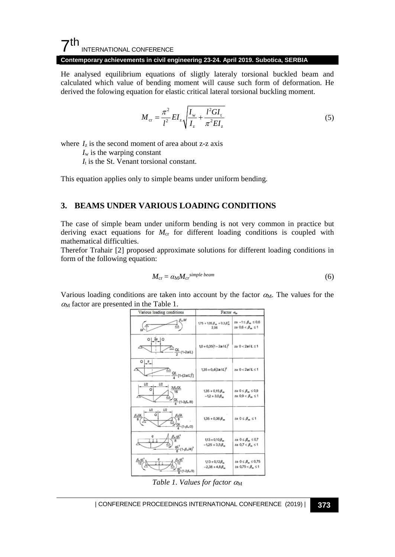#### $7th$ INTERNATIONAL CONFERENCE

#### **Contemporary achievements in civil engineering 23-24. April 2019. Subotica, SERBIA**

He analysed equilibrium equations of sligtly lateraly torsional buckled beam and calculated which value of bending moment will cause such form of deformation. He derived the folowing equation for elastic critical lateral torsional buckling moment.

$$
M_{\rm cr} = \frac{\pi^2}{l^2} EI_z \sqrt{\frac{I_{\rm w}}{I_z} + \frac{l^2 G I_{\rm t}}{\pi^2 E I_z}}
$$
(5)

where  $I_z$  is the second moment of area about z-z axis

 $I_w$  is the warping constant

*I*<sup>t</sup> is the St. Venant torsional constant.

This equation applies only to simple beams under uniform bending.

#### **3. BEAMS UNDER VARIOUS LOADING CONDITIONS**

The case of simple beam under uniform bending is not very common in practice but deriving exact equations for  $M_{cr}$  for different loading conditions is coupled with mathematical difficulties.

Therefor Trahair [2] proposed approximate solutions for different loading conditions in form of the following equation:

$$
M_{\rm cr} = \alpha_{\rm M} M_{\rm cr}^{\ \ \rm simple\ beam} \tag{6}
$$

Various loading conditions are taken into account by the factor  $\alpha_{\text{M}}$ . The values for the  $\alpha$ <sup>M</sup> factor are presented in the Table 1.

| Various loading conditions                                                       | Factor $\alpha_m$                             |                                                            |  |  |
|----------------------------------------------------------------------------------|-----------------------------------------------|------------------------------------------------------------|--|--|
| 45                                                                               | $1.75 + 1.05 \beta_m + 0.3 \beta_m^2$<br>2,56 | za $-1 \leq \beta_m \leq 0.6$<br>za $0.6 < \beta_m \leq 1$ |  |  |
| 2a<br>o<br>$\frac{QL}{2}$ (1-2a/L)                                               | $1,0 + 0,35(1 - 2a/L)^2$                      | za $0 < 2$ a/L $\leq 1$                                    |  |  |
| o<br>а<br>$\frac{QL}{4}[1-(2a/L)^2]$                                             | $1,35 + 0,4(2a/L)^2$                          | za $0 < 2a/L \leq 1$                                       |  |  |
| L/2<br>L/2<br>$\frac{3\beta_n QL}{16}$<br>Q<br>$\frac{QL}{4}$ (1-3 $\beta_n$ /8) | $1,35 + 0,15\beta_m$<br>$-12 + 3.0 B_m$       | za $0 \leq \beta_m \leq 0.9$<br>za $0.9 < \beta_m \leq 1$  |  |  |
| U2<br>U2<br>ο<br>$\frac{QL}{4}$ (1- $\beta_e$ , 2)                               | $1,35 + 0,36$ $\beta_m$                       | za $0 \leq \beta_m \leq 1$                                 |  |  |
| $\frac{qL^2}{8}(1-\beta_m/4)^2$                                                  | $113 + 0.10B_m$<br>$-1,25+3,5\beta_m$         | za $0 \leq \beta_m \leq 0.7$<br>za $0.7 < \beta_m \leq 1$  |  |  |
| $\frac{qL^2}{a}(1-2\beta_m/3)$                                                   | $1,13 + 0,12\beta_m$<br>$-2,38+4,8\beta_m$    | za $0 \leq \beta_m \leq 0.75$<br>za 0,75 < $\beta_m \le 1$ |  |  |

*Table 1. Values for factor α*<sub>M</sub>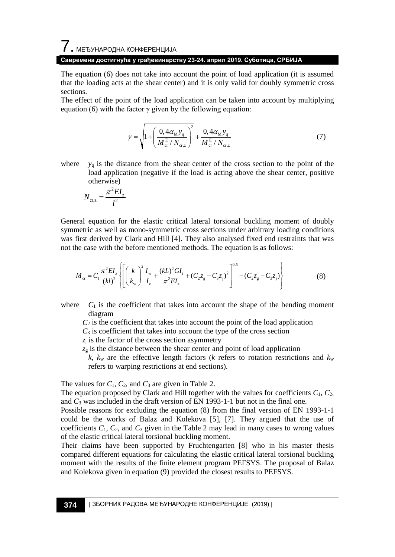# $\overline{7}$ . међународна конференција **Савремена достигнућа у грађевинарству 23-24. април 2019. Суботица, СРБИЈА**

The equation (6) does not take into account the point of load application (it is assumed that the loading acts at the shear center) and it is only valid for doubly symmetric cross sections.

The effect of the point of the load application can be taken into account by multiplying equation (6) with the factor  $\gamma$  given by the following equation:

$$
\gamma = \sqrt{1 + \left(\frac{0.4\alpha_{\rm M}y_{\rm q}}{M_{\rm cr}^{\rm E}/N_{\rm cr,z}}\right)^2} + \frac{0.4\alpha_{\rm M}y_{\rm q}}{M_{\rm cr}^{\rm E}/N_{\rm cr,z}}
$$
(7)

where  $y_q$  is the distance from the shear center of the cross section to the point of the load application (negative if the load is acting above the shear center, positive otherwise)

$$
N_{\text{cr,z}} = \frac{\pi^2 EI_z}{l^2}
$$

General equation for the elastic critical lateral torsional buckling moment of doubly symmetric as well as mono-symmetric cross sections under arbitrary loading conditions was first derived by Clark and Hill [4]. They also analysed fixed end restraints that was not the case with the before mentioned methods. The equation is as follows:

$$
M_{\rm cr} = C_1 \frac{\pi^2 E I_z}{(kl)^2} \left\{ \left[ \left( \frac{k}{k_{\rm w}} \right)^2 \frac{I_{\rm w}}{I_z} + \frac{(kL)^2 G I_{\rm t}}{\pi^2 E I_z} + (C_2 z_{\rm g} - C_3 z_{\rm j})^2 \right]^{0.5} - (C_2 z_{\rm g} - C_3 z_{\rm j}) \right\}
$$
(8)

where  $C_1$  is the coefficient that takes into account the shape of the bending moment diagram

 $C_2$  is the coefficient that takes into account the point of the load application

 $C_3$  is coefficient that takes into account the type of the cross section

 $z_i$  is the factor of the cross section asymmetry

 $z_{\rm g}$  is the distance between the shear center and point of load application

 $k$ ,  $k_w$  are the effective length factors ( $k$  refers to rotation restrictions and  $k_w$ refers to warping restrictions at end sections).

The values for *C*1, *C*2, and *C*<sup>3</sup> are given in Table 2.

The equation proposed by Clark and Hill together with the values for coefficients  $C_1$ ,  $C_2$ , and *C*<sup>3</sup> was included in the draft version of EN 1993-1-1 but not in the final one.

Possible reasons for excluding the equation (8) from the final version of EN 1993-1-1 could be the works of Balaz and Kolekova [5], [7]. They argued that the use of coefficients  $C_1$ ,  $C_2$ , and  $C_3$  given in the Table 2 may lead in many cases to wrong values of the elastic critical lateral torsional buckling moment.

Their claims have been supported by Fruchtengarten [8] who in his master thesis compared different equations for calculating the elastic critical lateral torsional buckling moment with the results of the finite element program PEFSYS. The proposal of Balaz and Kolekova given in equation (9) provided the closest results to PEFSYS.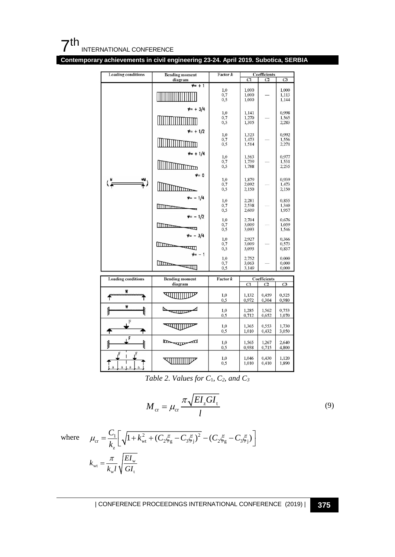

**Contemporary achievements in civil engineering 23-24. April 2019. Subotica, SERBIA**



*Table 2. Values for C*1, *C2, and C3*

$$
M_{\rm cr} = \mu_{\rm cr} \frac{\pi \sqrt{EI_z GI_{\rm t}}}{l} \tag{9}
$$

where

$$
\mu_{cr} = \frac{C_1}{k_z} \left[ \sqrt{1 + k_{wt}^2 + (C_2 \xi_g - C_3 \xi_j)^2} - (C_2 \xi_g - C_3 \xi_j) \right]
$$

$$
k_{wt} = \frac{\pi}{k_{wt}} \sqrt{\frac{EI_w}{GI_v}}
$$

| CONFERENCE PROCEEDINGS INTERNATIONAL CONFERENCE (2019) <sup>|</sup>**375**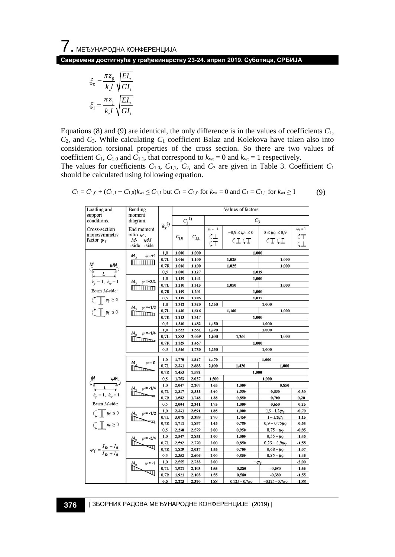**Савремена достигнућа у грађевинарству 23-24. април 2019. Суботица, СРБИЈА**

$$
\xi_{\rm g} = \frac{\pi z_{\rm g}}{k_{\rm g} l} \sqrt{\frac{EI_{z}}{GI_{\rm t}}}
$$

$$
\xi_{\rm j} = \frac{\pi z_{\rm j}}{k_{\rm g} l} \sqrt{\frac{EI_{z}}{GI_{\rm t}}}
$$

should be calculated using following equation.

Equations (8) and (9) are identical, the only difference is in the values of coefficients *C*1, *C*2, and *C*3. While calculating *C*<sup>1</sup> coefficient Balaz and Kolekova have taken also into consideration torsional properties of the cross section. So there are two values of coefficient  $C_1$ ,  $C_{1,0}$  and  $C_{1,1}$ , that correspond to  $k_{wt} = 0$  and  $k_{wt} = 1$  respectively. The values for coefficients  $C_{1,0}$ ,  $C_{1,1}$ ,  $C_2$ , and  $C_3$  are given in Table 3. Coefficient  $C_1$ 

| Loading and                                                              | Bending                                                                                                                                                                                                                                                                                                                                                                     |                   | Values of factors |           |                                |                                          |                                        |                                     |  |  |
|--------------------------------------------------------------------------|-----------------------------------------------------------------------------------------------------------------------------------------------------------------------------------------------------------------------------------------------------------------------------------------------------------------------------------------------------------------------------|-------------------|-------------------|-----------|--------------------------------|------------------------------------------|----------------------------------------|-------------------------------------|--|--|
| support<br>conditions.                                                   | moment<br>diagram.                                                                                                                                                                                                                                                                                                                                                          |                   | $C_1^{(1)}$       |           | $C_3$                          |                                          |                                        |                                     |  |  |
| Cross-section<br>monosymmetry<br>factor $\psi_f$                         | End moment<br>ratio $\psi$ .<br>M-<br>ΨM<br>-side<br>-side                                                                                                                                                                                                                                                                                                                  | $k_{\rm z}^{~2)}$ | $C_{1,0}$         | $C_{1,1}$ | $\psi_{\rm f} = -1$<br>산<br>CT | $-0.9 \leq \psi_f \leq 0$<br><b>CIGT</b> | $0 \leq \psi_{\rm f} \leq 0.9$<br>CICL | $\psi_{\rm f} = 1$<br>ĊΤ<br>$\zeta$ |  |  |
|                                                                          | $\psi$ =+1<br>$M_{cr}$<br><b>THE BELLET OF</b>                                                                                                                                                                                                                                                                                                                              | 1,0               | 1,000             | 1,000     | 1,000                          |                                          |                                        |                                     |  |  |
|                                                                          |                                                                                                                                                                                                                                                                                                                                                                             | 0, 7L             | 1,016             | 1,100     |                                | 1,025                                    | 1,000                                  |                                     |  |  |
| м<br>$\frac{\mu M}{L}$                                                   |                                                                                                                                                                                                                                                                                                                                                                             | 0.7R              | 1,016             | 1,100     | 1,025<br>1,000                 |                                          |                                        |                                     |  |  |
|                                                                          |                                                                                                                                                                                                                                                                                                                                                                             | 0, 5              | 1,000             | 1,127     | 1,019                          |                                          |                                        |                                     |  |  |
| $k_x = 1, k_y = 1$                                                       | $M_{\nu}$ , $w = +3/4$                                                                                                                                                                                                                                                                                                                                                      | 1,0               | 1,139             | 1,141     | 1,000                          |                                          |                                        |                                     |  |  |
|                                                                          | <b>MATTER</b>                                                                                                                                                                                                                                                                                                                                                               | 0,7L              | 1,210             | 1,313     | 1,050<br>1,000                 |                                          |                                        |                                     |  |  |
| Beam M-side:                                                             |                                                                                                                                                                                                                                                                                                                                                                             | 0,7R              | 1,109             | 1,201     | 1,000                          |                                          |                                        |                                     |  |  |
| $\mathcal{C}$ $\sqrt{\psi} \geq 0$                                       |                                                                                                                                                                                                                                                                                                                                                                             | 0, 5              | 1,139             | 1,285     |                                | 1,017                                    |                                        |                                     |  |  |
|                                                                          | $M_{\nu}$ $\psi$ =+1/2                                                                                                                                                                                                                                                                                                                                                      | 1,0               | 1,312             | 1,320     | 1,150<br>1,000                 |                                          |                                        |                                     |  |  |
| $\uparrow \top \psi \leq 0$                                              | <b>INTERNATIONAL</b>                                                                                                                                                                                                                                                                                                                                                        | 0.7L              | 1,480             | 1,616     |                                | 1,160                                    | 1,000                                  |                                     |  |  |
|                                                                          |                                                                                                                                                                                                                                                                                                                                                                             | 0,7R              | 1,213             | 1,317     |                                | 1,000                                    |                                        |                                     |  |  |
|                                                                          |                                                                                                                                                                                                                                                                                                                                                                             | 0, 5              | 1,310             | 1,482     | 1,150                          | 1,000                                    |                                        |                                     |  |  |
|                                                                          | $w = +1/4$<br>M.,<br><b>ITTITUDE</b>                                                                                                                                                                                                                                                                                                                                        | 1,0               | 1,522             | 1,551     | 1,290                          |                                          | 1,000                                  |                                     |  |  |
|                                                                          |                                                                                                                                                                                                                                                                                                                                                                             | 0, 7L             | 1,853             | 2,059     | 1,600                          | 1.260                                    | 1.000                                  |                                     |  |  |
|                                                                          |                                                                                                                                                                                                                                                                                                                                                                             | 0.7R              | 1,329             | 1,467     |                                | 1,000                                    |                                        |                                     |  |  |
| 0,5<br>1,516<br>1,730<br>1,350                                           |                                                                                                                                                                                                                                                                                                                                                                             |                   |                   |           |                                |                                          | 1,000                                  |                                     |  |  |
|                                                                          | $w = 0$<br>М.,<br>$\blacksquare$                                                                                                                                                                                                                                                                                                                                            | 1,0               | 1,770             | 1,847     | 1,470<br>1,000                 |                                          |                                        |                                     |  |  |
|                                                                          |                                                                                                                                                                                                                                                                                                                                                                             | 0.7L              | 2,331             | 2,683     | 2,000                          | 1,420                                    |                                        | 1,000                               |  |  |
|                                                                          |                                                                                                                                                                                                                                                                                                                                                                             | 0,7R              | 1,453             | 1,592     | 1,000                          |                                          |                                        |                                     |  |  |
| м<br>$\frac{vM}{L}$                                                      |                                                                                                                                                                                                                                                                                                                                                                             | 0.5               | 1,753             | 2,027     | 1,500<br>1,000                 |                                          |                                        |                                     |  |  |
|                                                                          | $w = -1/4$<br>M.,<br>$\mathbb{R}$                                                                                                                                                                                                                                                                                                                                           | 1,0               | 2,047             | 2,207     | 1,65                           | 1,000                                    | 0.850                                  |                                     |  |  |
|                                                                          |                                                                                                                                                                                                                                                                                                                                                                             | 0.7L              | 2,827             | 3,322     | 2,40                           | 1,550                                    | 0.850                                  | $-0,30$                             |  |  |
| $k_{\circ} = 1, k_{\circ} = 1$                                           |                                                                                                                                                                                                                                                                                                                                                                             | 0.7R              | 1,582             | 1,748     | 1,38                           | 0.850                                    | 0,700                                  | 0.20                                |  |  |
| Beam M-side:                                                             |                                                                                                                                                                                                                                                                                                                                                                             | 0, 5              | 2,004             | 2,341     | 1,75                           | 1,000                                    | 0.650                                  | $-0.25$                             |  |  |
| $\overline{\mathcal{L}}$ $\psi$ $\leq$ 0                                 | $w = -1/2$<br>M,                                                                                                                                                                                                                                                                                                                                                            | 1,0               | 2,331             | 2,591     | 1,85                           | 1,000                                    | $1,3 - 1,2w_f$                         | $-0,70$                             |  |  |
|                                                                          |                                                                                                                                                                                                                                                                                                                                                                             | 0,7L              | 3.078             | 3,399     | 2,70                           | 1,450                                    | $1 - 1.2W_r$                           | $-1,15$                             |  |  |
| $\bigcup$ $\psi \ge 0$                                                   |                                                                                                                                                                                                                                                                                                                                                                             | 0,7R              | 1,711             | 1,897     | 1,45                           | 0,780                                    | $0.9 - 0.75 \psi_c$                    | $-0.53$                             |  |  |
|                                                                          |                                                                                                                                                                                                                                                                                                                                                                             | 0.5               | 2,230             | 2,579     | 2,00                           | 0.950                                    | $0.75 - \psi_{f}$                      | $-0.85$                             |  |  |
| $\psi_{\rm f} = \frac{I_{\rm fc} - I_{\rm ft}}{I_{\rm fc} + I_{\rm ft}}$ | $w = -3/4$<br>$\sum_{i=1}^{M_{\text{cr}}}$<br>₩                                                                                                                                                                                                                                                                                                                             | 1,0               | 2,547             | 2,852     | 2,00                           | 1,000                                    | $0,55 - \psi_{f}$                      | $-1,45$                             |  |  |
|                                                                          |                                                                                                                                                                                                                                                                                                                                                                             | 0, 7L             | 2,592             | 2,770     | 2,00                           | 0.850                                    | $0,23-0,9\nu_r$                        | $-1,55$                             |  |  |
|                                                                          |                                                                                                                                                                                                                                                                                                                                                                             | 0.7R              | 1,829             | 2,027     | 1,55                           | 0,700                                    | $0,68 - \psi_{f}$                      | $-1,07$                             |  |  |
|                                                                          |                                                                                                                                                                                                                                                                                                                                                                             | 0,5               | 2,352             | 2,606     | 2,00                           | 0,850                                    | $0,35 - \psi_{f}$                      | $-1,45$                             |  |  |
|                                                                          |                                                                                                                                                                                                                                                                                                                                                                             | 1,0               | 2,555             | 2,733     | 2.00<br>$-wf$                  |                                          |                                        | $-2,00$                             |  |  |
|                                                                          | $\begin{picture}(20,20) \put(0,0){\dashbox{0.5}(5,0){ }} \put(15,0){\dashbox{0.5}(5,0){ }} \put(15,0){\dashbox{0.5}(5,0){ }} \put(15,0){\dashbox{0.5}(5,0){ }} \put(15,0){\dashbox{0.5}(5,0){ }} \put(15,0){\dashbox{0.5}(5,0){ }} \put(15,0){\dashbox{0.5}(5,0){ }} \put(15,0){\dashbox{0.5}(5,0){ }} \put(15,0){\dashbox{0.5}(5,0){ }} \put(15,0){\dashbox{0.5}(5,0){ }}$ | 0,7L              | 1,921             | 2,103     | 1,55                           | 0.380                                    | $-0,580$                               | $-1,55$                             |  |  |
|                                                                          |                                                                                                                                                                                                                                                                                                                                                                             | 0,7R              | 1,921             | 2,103     | 1,55                           | 0.580                                    | $-0.380$                               | $-1,55$                             |  |  |
|                                                                          |                                                                                                                                                                                                                                                                                                                                                                             | 0,5               | 2,223             | 2,390     | 1,88                           | $0,125-0,7\psi_f$                        | $-0.125 - 0.7 \psi_f$                  | $-1,88$                             |  |  |

$$
C_1 = C_{1,0} + (C_{1,1} - C_{1,0})k_{wt} \le C_{1,1} \text{ but } C_1 = C_{1,0} \text{ for } k_{wt} = 0 \text{ and } C_1 = C_{1,1} \text{ for } k_{wt} \ge 1
$$
 (9)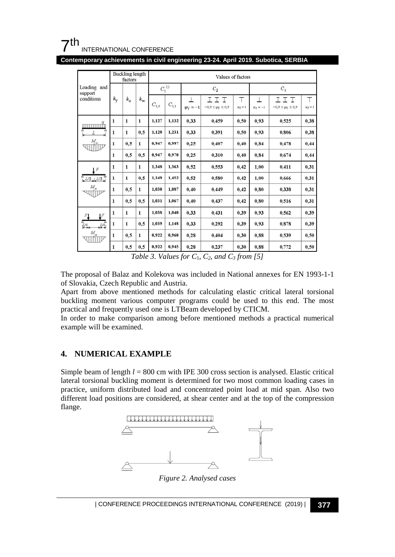## $7<sup>th</sup>$ INTERNATIONAL CONFERENCE

**Contemporary achievements in civil engineering 23-24. April 2019. Subotica, SERBIA**

|                                         | Buckling length<br>factors |              |              | Values of factors |           |               |                                            |                   |               |                                        |                   |
|-----------------------------------------|----------------------------|--------------|--------------|-------------------|-----------|---------------|--------------------------------------------|-------------------|---------------|----------------------------------------|-------------------|
| Loading<br>and<br>support<br>conditions | k <sub>v</sub>             | $k_z$        | $k_{\rm w}$  | $C_1^{(1)}$       |           | $C_2$         |                                            |                   | $C_{3}$       |                                        |                   |
|                                         |                            |              |              | $C_{\rm 1,0}$     | $C_{1,1}$ | $\psi_f = -1$ | I<br>I<br>I<br>$-0.9 \leq \psi_f \leq 0.9$ | т<br>$\psi_f = 1$ | $\psi_f = -1$ | エエ<br>T<br>$-0.9 \leq \psi_f \leq 0.9$ | т<br>$\psi_f = 1$ |
| $\text{mmm}^q$                          | 1                          | 1            | $\mathbf{1}$ | 1,127             | 1,132     | 0,33          | 0,459                                      | 0.50              | 0.93          | 0.525                                  | 0,38              |
| L                                       | 1                          | 1            | 0, 5         | 1,128             | 1.231     | 0.33          | 0,391                                      | 0.50              | 0,93          | 0,806                                  | 0,38              |
| $M_{\rm cr}$<br>Milip                   | 1                          | 0,5          | 1            | 0.947             | 0.997     | 0.25          | 0,407                                      | 0,40              | 0.84          | 0.478                                  | 0,44              |
|                                         | 1                          | 0,5          | 0,5          | 0,947             | 0.970     | 0,25          | 0,310                                      | 0,40              | 0,84          | 0.674                                  | 0,44              |
| F                                       | $\mathbf{1}$               | $\mathbf{1}$ | $\mathbf{1}$ | 1,348             | 1,363     | 0,52          | 0,553                                      | 0,42              | 1,00          | 0.411                                  | 0,31              |
| $L/2$ , $L/2$                           | $\mathbf{1}$               | 1            | 0, 5         | 1,349             | 1,452     | 0,52          | 0.580                                      | 0,42              | 1.00          | 0.666                                  | 0,31              |
| $M_{\alpha}$<br>wijipe                  | $\mathbf{1}$               | 0,5          | 1            | 1.030             | 1.087     | 0,40          | 0.449                                      | 0,42              | 0,80          | 0.338                                  | 0,31              |
|                                         | 1                          | 0,5          | 0,5          | 1.031             | 1.067     | 0,40          | 0,437                                      | 0,42              | 0.80          | 0.516                                  | 0,31              |
| $\mathbb{F}$<br>FI                      | $\mathbf{1}$               | $\mathbf{1}$ | $\mathbf{1}$ | 1,038             | 1.040     | 0,33          | 0,431                                      | 0,39              | 0.93          | 0.562                                  | 0,39              |
| $\frac{1}{4}$<br>$\frac{L}{4}$          | 1                          | 1            | 0,5          | 1,039             | 1,148     | 0.33          | 0,292                                      | 0,39              | 0.93          | 0.878                                  | 0,39              |
| $M_{\text{cr}}$<br>viiiliv              | 1                          | 0,5          | 1            | 0,922             | 0.960     | 0,28          | 0,404                                      | 0,30              | 0.88          | 0,539                                  | 0,50              |
|                                         | $\mathbf{1}$               | 0,5          | 0, 5         | 0,922             | 0.945     | 0.28          | 0,237                                      | 0.30              | 0.88          | 0,772                                  | 0.50              |

*Table 3. Values for C*1, *C2, and C3 from [5]*

The proposal of Balaz and Kolekova was included in National annexes for EN 1993-1-1 of Slovakia, Czech Republic and Austria.

Apart from above mentioned methods for calculating elastic critical lateral torsional buckling moment various computer programs could be used to this end. The most practical and frequently used one is LTBeam developed by CTICM.

In order to make comparison among before mentioned methods a practical numerical example will be examined.

## **4. NUMERICAL EXAMPLE**

Simple beam of length  $l = 800$  cm with IPE 300 cross section is analysed. Elastic critical lateral torsional buckling moment is determined for two most common loading cases in practice, uniform distributed load and concentrated point load at mid span. Also two different load positions are considered, at shear center and at the top of the compression flange.



*Figure 2. Analysed cases*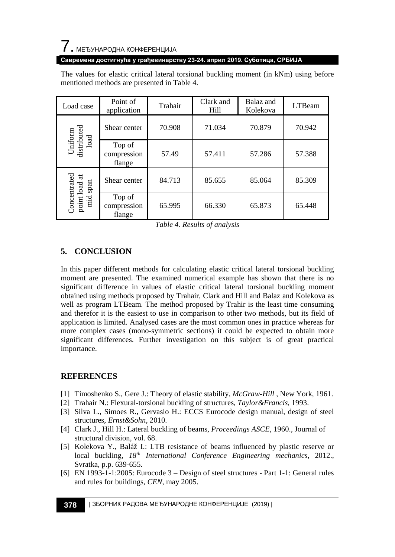# $\overline{\phantom{a}}$ . МЕЂУНАРОДНА КОНФЕРЕНЦИЈА

#### **Савремена достигнућа у грађевинарству 23-24. април 2019. Суботица, СРБИЈА**

The values for elastic critical lateral torsional buckling moment (in kNm) using before mentioned methods are presented in Table 4.

| Load case                                                                          | Point of<br>application         | Trahair | Clark and<br>Hill | Balaz and<br>Kolekova | <b>LTBeam</b> |
|------------------------------------------------------------------------------------|---------------------------------|---------|-------------------|-----------------------|---------------|
| $\begin{array}{c} \text{Uniform} \\ \text{distributed} \\ \text{load} \end{array}$ | Shear center                    | 70.908  | 71.034            | 70.879                | 70.942        |
|                                                                                    | Top of<br>compression<br>flange | 57.49   | 57.411            | 57.286                | 57.388        |
| Concentrated<br>point load at<br>span<br>mid                                       | Shear center                    | 84.713  | 85.655            | 85.064                | 85.309        |
|                                                                                    | Top of<br>compression<br>flange | 65.995  | 66.330            | 65.873                | 65.448        |

*Table 4. Results of analysis*

# **5. CONCLUSION**

In this paper different methods for calculating elastic critical lateral torsional buckling moment are presented. The examined numerical example has shown that there is no significant difference in values of elastic critical lateral torsional buckling moment obtained using methods proposed by Trahair, Clark and Hill and Balaz and Kolekova as well as program LTBeam. The method proposed by Trahir is the least time consuming and therefor it is the easiest to use in comparison to other two methods, but its field of application is limited. Analysed cases are the most common ones in practice whereas for more complex cases (mono-symmetric sections) it could be expected to obtain more significant differences. Further investigation on this subject is of great practical importance.

## **REFERENCES**

- [1] Timoshenko S., Gere J.: Theory of elastic stability, *McGraw-Hill* , New York, 1961.
- [2] Trahair N.: Flexural-torsional buckling of structures*, Taylor&Francis*, 1993.
- [3] Silva L., Simoes R., Gervasio H.: ECCS Eurocode design manual, design of steel structures, *Ernst&Sohn*, 2010.
- [4] Clark J., Hill H.: Lateral buckling of beams, *Proceedings ASCE*, 1960., Journal of structural division, vol. 68.
- [5] Kolekova Y., Baláž I.: LTB resistance of beams influenced by plastic reserve or local buckling*, 18th International Conference Engineering mechanics*, 2012., Svratka, p.p. 639-655.
- [6] EN 1993-1-1:2005: Eurocode 3 Design of steel structures Part 1-1: General rules and rules for buildings, *CEN*, may 2005.